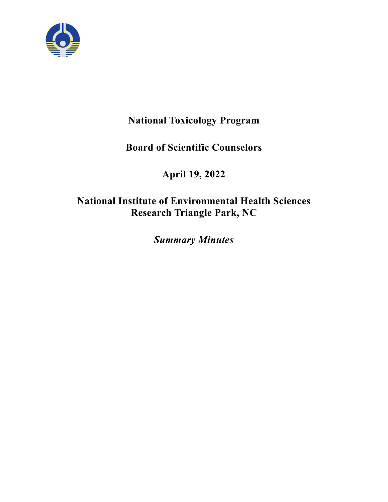

# **National Toxicology Program**

# **Board of Scientific Counselors**

# **April 19, 2022**

# **National Institute of Environmental Health Sciences Research Triangle Park, NC**

*Summary Minutes*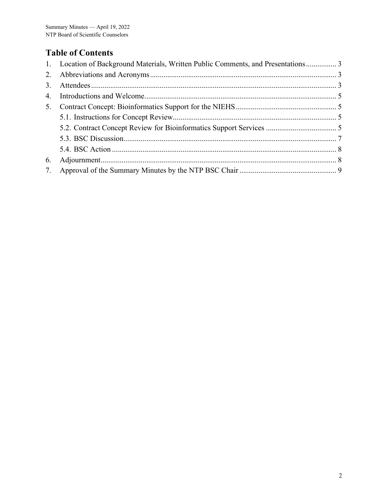# **Table of Contents**

|    | 1. Location of Background Materials, Written Public Comments, and Presentations 3 |  |
|----|-----------------------------------------------------------------------------------|--|
|    |                                                                                   |  |
|    |                                                                                   |  |
| 4. |                                                                                   |  |
|    |                                                                                   |  |
|    |                                                                                   |  |
|    |                                                                                   |  |
|    |                                                                                   |  |
|    |                                                                                   |  |
| 6. |                                                                                   |  |
|    |                                                                                   |  |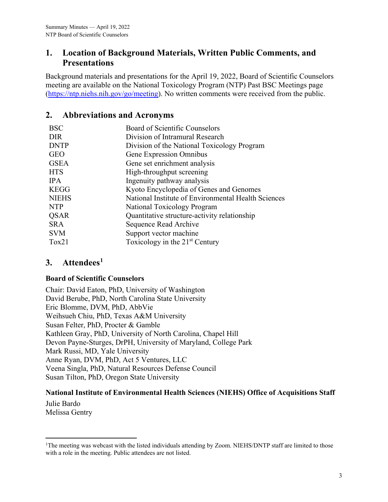## <span id="page-2-0"></span>**1. Location of Background Materials, Written Public Comments, and Presentations**

Background materials and presentations for the April 19, 2022, Board of Scientific Counselors meeting are available on the National Toxicology Program (NTP) Past BSC Meetings page [\(https://ntp.niehs.nih.gov/go/meeting\)](https://ntp.niehs.nih.gov/go/meeting). No written comments were received from the public.

## <span id="page-2-1"></span>**2. Abbreviations and Acronyms**

| <b>BSC</b>   | Board of Scientific Counselors                      |
|--------------|-----------------------------------------------------|
| <b>DIR</b>   | Division of Intramural Research                     |
| <b>DNTP</b>  | Division of the National Toxicology Program         |
| <b>GEO</b>   | Gene Expression Omnibus                             |
| <b>GSEA</b>  | Gene set enrichment analysis                        |
| <b>HTS</b>   | High-throughput screening                           |
| <b>IPA</b>   | Ingenuity pathway analysis                          |
| <b>KEGG</b>  | Kyoto Encyclopedia of Genes and Genomes             |
| <b>NIEHS</b> | National Institute of Environmental Health Sciences |
| <b>NTP</b>   | National Toxicology Program                         |
| <b>QSAR</b>  | Quantitative structure-activity relationship        |
| SR A         | Sequence Read Archive                               |
| <b>SVM</b>   | Support vector machine                              |
| $T_0x21$     | Toxicology in the $21st$ Century                    |
|              |                                                     |

# <span id="page-2-2"></span>**3. Attendees[1](#page-2-3)**

#### **Board of Scientific Counselors**

Chair: David Eaton, PhD, University of Washington David Berube, PhD, North Carolina State University Eric Blomme, DVM, PhD, AbbVie Weihsueh Chiu, PhD, Texas A&M University Susan Felter, PhD, Procter & Gamble Kathleen Gray, PhD, University of North Carolina, Chapel Hill Devon Payne-Sturges, DrPH, University of Maryland, College Park Mark Russi, MD, Yale University Anne Ryan, DVM, PhD, Act 5 Ventures, LLC Veena Singla, PhD, Natural Resources Defense Council Susan Tilton, PhD, Oregon State University

#### **National Institute of Environmental Health Sciences (NIEHS) Office of Acquisitions Staff**

Julie Bardo Melissa Gentry

<span id="page-2-3"></span><sup>&</sup>lt;sup>1</sup>The meeting was webcast with the listed individuals attending by Zoom. NIEHS/DNTP staff are limited to those with a role in the meeting. Public attendees are not listed.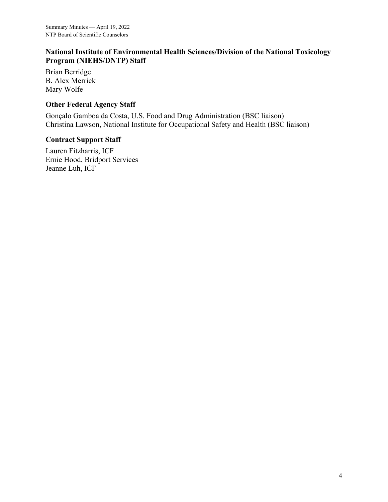#### **National Institute of Environmental Health Sciences/Division of the National Toxicology Program (NIEHS/DNTP) Staff**

Brian Berridge B. Alex Merrick Mary Wolfe

#### **Other Federal Agency Staff**

Gonçalo Gamboa da Costa, U.S. Food and Drug Administration (BSC liaison) Christina Lawson, National Institute for Occupational Safety and Health (BSC liaison)

#### **Contract Support Staff**

Lauren Fitzharris, ICF Ernie Hood, Bridport Services Jeanne Luh, ICF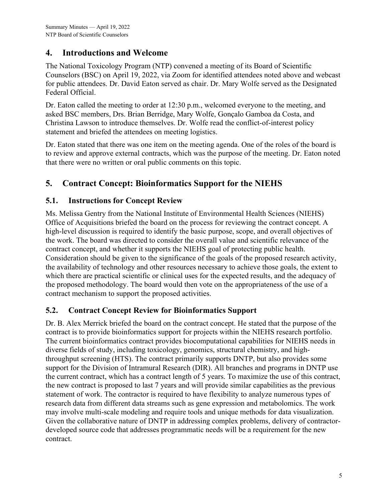## <span id="page-4-0"></span>**4. Introductions and Welcome**

The National Toxicology Program (NTP) convened a meeting of its Board of Scientific Counselors (BSC) on April 19, 2022, via Zoom for identified attendees noted above and webcast for public attendees. Dr. David Eaton served as chair. Dr. Mary Wolfe served as the Designated Federal Official.

Dr. Eaton called the meeting to order at 12:30 p.m., welcomed everyone to the meeting, and asked BSC members, Drs. Brian Berridge, Mary Wolfe, Gonçalo Gamboa da Costa, and Christina Lawson to introduce themselves. Dr. Wolfe read the conflict-of-interest policy statement and briefed the attendees on meeting logistics.

Dr. Eaton stated that there was one item on the meeting agenda. One of the roles of the board is to review and approve external contracts, which was the purpose of the meeting. Dr. Eaton noted that there were no written or oral public comments on this topic.

# <span id="page-4-1"></span>**5. Contract Concept: Bioinformatics Support for the NIEHS**

## <span id="page-4-2"></span>**5.1. Instructions for Concept Review**

Ms. Melissa Gentry from the National Institute of Environmental Health Sciences (NIEHS) Office of Acquisitions briefed the board on the process for reviewing the contract concept. A high-level discussion is required to identify the basic purpose, scope, and overall objectives of the work. The board was directed to consider the overall value and scientific relevance of the contract concept, and whether it supports the NIEHS goal of protecting public health. Consideration should be given to the significance of the goals of the proposed research activity, the availability of technology and other resources necessary to achieve those goals, the extent to which there are practical scientific or clinical uses for the expected results, and the adequacy of the proposed methodology. The board would then vote on the appropriateness of the use of a contract mechanism to support the proposed activities.

### <span id="page-4-3"></span>**5.2. Contract Concept Review for Bioinformatics Support**

Dr. B. Alex Merrick briefed the board on the contract concept. He stated that the purpose of the contract is to provide bioinformatics support for projects within the NIEHS research portfolio. The current bioinformatics contract provides biocomputational capabilities for NIEHS needs in diverse fields of study, including toxicology, genomics, structural chemistry, and highthroughput screening (HTS). The contract primarily supports DNTP, but also provides some support for the Division of Intramural Research (DIR). All branches and programs in DNTP use the current contract, which has a contract length of 5 years. To maximize the use of this contract, the new contract is proposed to last 7 years and will provide similar capabilities as the previous statement of work. The contractor is required to have flexibility to analyze numerous types of research data from different data streams such as gene expression and metabolomics. The work may involve multi-scale modeling and require tools and unique methods for data visualization. Given the collaborative nature of DNTP in addressing complex problems, delivery of contractordeveloped source code that addresses programmatic needs will be a requirement for the new contract.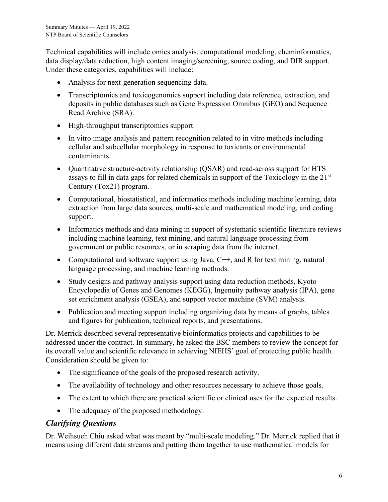Technical capabilities will include omics analysis, computational modeling, cheminformatics, data display/data reduction, high content imaging/screening, source coding, and DIR support. Under these categories, capabilities will include:

- Analysis for next-generation sequencing data.
- Transcriptomics and toxicogenomics support including data reference, extraction, and deposits in public databases such as Gene Expression Omnibus (GEO) and Sequence Read Archive (SRA).
- High-throughput transcriptomics support.
- In vitro image analysis and pattern recognition related to in vitro methods including cellular and subcellular morphology in response to toxicants or environmental contaminants.
- Quantitative structure-activity relationship (QSAR) and read-across support for HTS assays to fill in data gaps for related chemicals in support of the Toxicology in the  $21<sup>st</sup>$ Century (Tox21) program.
- Computational, biostatistical, and informatics methods including machine learning, data extraction from large data sources, multi-scale and mathematical modeling, and coding support.
- Informatics methods and data mining in support of systematic scientific literature reviews including machine learning, text mining, and natural language processing from government or public resources, or in scraping data from the internet.
- Computational and software support using Java,  $C++$ , and R for text mining, natural language processing, and machine learning methods.
- Study designs and pathway analysis support using data reduction methods, Kyoto Encyclopedia of Genes and Genomes (KEGG), Ingenuity pathway analysis (IPA), gene set enrichment analysis (GSEA), and support vector machine (SVM) analysis.
- Publication and meeting support including organizing data by means of graphs, tables and figures for publication, technical reports, and presentations.

Dr. Merrick described several representative bioinformatics projects and capabilities to be addressed under the contract. In summary, he asked the BSC members to review the concept for its overall value and scientific relevance in achieving NIEHS' goal of protecting public health. Consideration should be given to:

- The significance of the goals of the proposed research activity.
- The availability of technology and other resources necessary to achieve those goals.
- The extent to which there are practical scientific or clinical uses for the expected results.
- The adequacy of the proposed methodology.

#### *Clarifying Questions*

Dr. Weihsueh Chiu asked what was meant by "multi-scale modeling." Dr. Merrick replied that it means using different data streams and putting them together to use mathematical models for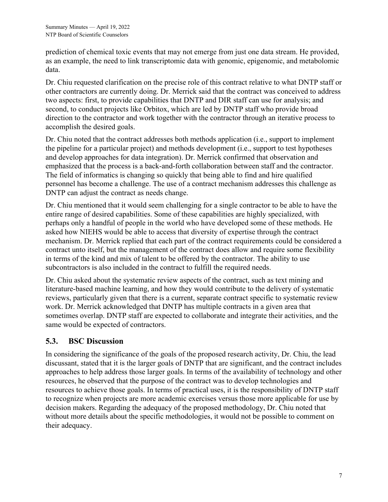prediction of chemical toxic events that may not emerge from just one data stream. He provided, as an example, the need to link transcriptomic data with genomic, epigenomic, and metabolomic data.

Dr. Chiu requested clarification on the precise role of this contract relative to what DNTP staff or other contractors are currently doing. Dr. Merrick said that the contract was conceived to address two aspects: first, to provide capabilities that DNTP and DIR staff can use for analysis; and second, to conduct projects like Orbitox, which are led by DNTP staff who provide broad direction to the contractor and work together with the contractor through an iterative process to accomplish the desired goals.

Dr. Chiu noted that the contract addresses both methods application (i.e., support to implement the pipeline for a particular project) and methods development (i.e., support to test hypotheses and develop approaches for data integration). Dr. Merrick confirmed that observation and emphasized that the process is a back-and-forth collaboration between staff and the contractor. The field of informatics is changing so quickly that being able to find and hire qualified personnel has become a challenge. The use of a contract mechanism addresses this challenge as DNTP can adjust the contract as needs change.

Dr. Chiu mentioned that it would seem challenging for a single contractor to be able to have the entire range of desired capabilities. Some of these capabilities are highly specialized, with perhaps only a handful of people in the world who have developed some of these methods. He asked how NIEHS would be able to access that diversity of expertise through the contract mechanism. Dr. Merrick replied that each part of the contract requirements could be considered a contract unto itself, but the management of the contract does allow and require some flexibility in terms of the kind and mix of talent to be offered by the contractor. The ability to use subcontractors is also included in the contract to fulfill the required needs.

Dr. Chiu asked about the systematic review aspects of the contract, such as text mining and literature-based machine learning, and how they would contribute to the delivery of systematic reviews, particularly given that there is a current, separate contract specific to systematic review work. Dr. Merrick acknowledged that DNTP has multiple contracts in a given area that sometimes overlap. DNTP staff are expected to collaborate and integrate their activities, and the same would be expected of contractors.

### <span id="page-6-0"></span>**5.3. BSC Discussion**

In considering the significance of the goals of the proposed research activity, Dr. Chiu, the lead discussant, stated that it is the larger goals of DNTP that are significant, and the contract includes approaches to help address those larger goals. In terms of the availability of technology and other resources, he observed that the purpose of the contract was to develop technologies and resources to achieve those goals. In terms of practical uses, it is the responsibility of DNTP staff to recognize when projects are more academic exercises versus those more applicable for use by decision makers. Regarding the adequacy of the proposed methodology, Dr. Chiu noted that without more details about the specific methodologies, it would not be possible to comment on their adequacy.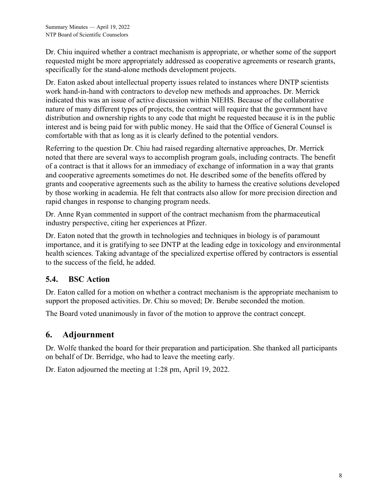Dr. Chiu inquired whether a contract mechanism is appropriate, or whether some of the support requested might be more appropriately addressed as cooperative agreements or research grants, specifically for the stand-alone methods development projects.

Dr. Eaton asked about intellectual property issues related to instances where DNTP scientists work hand-in-hand with contractors to develop new methods and approaches. Dr. Merrick indicated this was an issue of active discussion within NIEHS. Because of the collaborative nature of many different types of projects, the contract will require that the government have distribution and ownership rights to any code that might be requested because it is in the public interest and is being paid for with public money. He said that the Office of General Counsel is comfortable with that as long as it is clearly defined to the potential vendors.

Referring to the question Dr. Chiu had raised regarding alternative approaches, Dr. Merrick noted that there are several ways to accomplish program goals, including contracts. The benefit of a contract is that it allows for an immediacy of exchange of information in a way that grants and cooperative agreements sometimes do not. He described some of the benefits offered by grants and cooperative agreements such as the ability to harness the creative solutions developed by those working in academia. He felt that contracts also allow for more precision direction and rapid changes in response to changing program needs.

Dr. Anne Ryan commented in support of the contract mechanism from the pharmaceutical industry perspective, citing her experiences at Pfizer.

Dr. Eaton noted that the growth in technologies and techniques in biology is of paramount importance, and it is gratifying to see DNTP at the leading edge in toxicology and environmental health sciences. Taking advantage of the specialized expertise offered by contractors is essential to the success of the field, he added.

### <span id="page-7-0"></span>**5.4. BSC Action**

Dr. Eaton called for a motion on whether a contract mechanism is the appropriate mechanism to support the proposed activities. Dr. Chiu so moved; Dr. Berube seconded the motion.

The Board voted unanimously in favor of the motion to approve the contract concept.

### <span id="page-7-1"></span>**6. Adjournment**

Dr. Wolfe thanked the board for their preparation and participation. She thanked all participants on behalf of Dr. Berridge, who had to leave the meeting early.

Dr. Eaton adjourned the meeting at 1:28 pm, April 19, 2022.